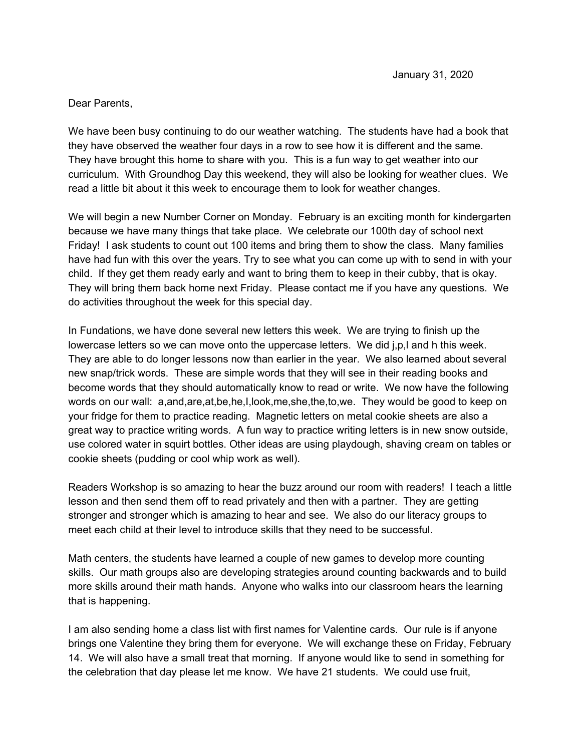## Dear Parents,

We have been busy continuing to do our weather watching. The students have had a book that they have observed the weather four days in a row to see how it is different and the same. They have brought this home to share with you. This is a fun way to get weather into our curriculum. With Groundhog Day this weekend, they will also be looking for weather clues. We read a little bit about it this week to encourage them to look for weather changes.

We will begin a new Number Corner on Monday. February is an exciting month for kindergarten because we have many things that take place. We celebrate our 100th day of school next Friday! I ask students to count out 100 items and bring them to show the class. Many families have had fun with this over the years. Try to see what you can come up with to send in with your child. If they get them ready early and want to bring them to keep in their cubby, that is okay. They will bring them back home next Friday. Please contact me if you have any questions. We do activities throughout the week for this special day.

In Fundations, we have done several new letters this week. We are trying to finish up the lowercase letters so we can move onto the uppercase letters. We did j,p,l and h this week. They are able to do longer lessons now than earlier in the year. We also learned about several new snap/trick words. These are simple words that they will see in their reading books and become words that they should automatically know to read or write. We now have the following words on our wall: a,and,are,at,be,he,I,look,me,she,the,to,we. They would be good to keep on your fridge for them to practice reading. Magnetic letters on metal cookie sheets are also a great way to practice writing words. A fun way to practice writing letters is in new snow outside, use colored water in squirt bottles. Other ideas are using playdough, shaving cream on tables or cookie sheets (pudding or cool whip work as well).

Readers Workshop is so amazing to hear the buzz around our room with readers! I teach a little lesson and then send them off to read privately and then with a partner. They are getting stronger and stronger which is amazing to hear and see. We also do our literacy groups to meet each child at their level to introduce skills that they need to be successful.

Math centers, the students have learned a couple of new games to develop more counting skills. Our math groups also are developing strategies around counting backwards and to build more skills around their math hands. Anyone who walks into our classroom hears the learning that is happening.

I am also sending home a class list with first names for Valentine cards. Our rule is if anyone brings one Valentine they bring them for everyone. We will exchange these on Friday, February 14. We will also have a small treat that morning. If anyone would like to send in something for the celebration that day please let me know. We have 21 students. We could use fruit,